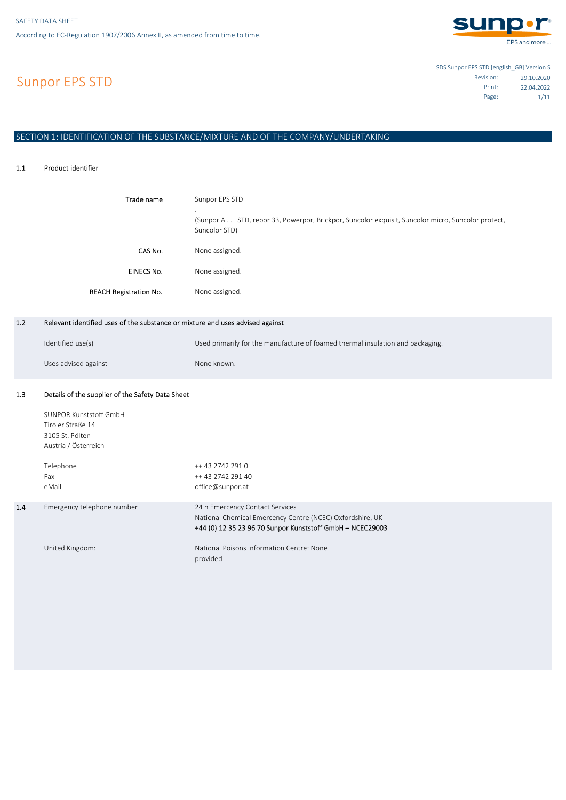

Sunpor EPS STD

SDS Sunpor EPS STD [english\_GB] Version S 29.10.2020 Revision: 22.04.2022 Print: 1/11 Page:

# SECTION 1: IDENTIFICATION OF THE SUBSTANCE/MIXTURE AND OF THE COMPANY/UNDERTAKING

#### 1.1 Product identifier

| Trade name                    | Sunpor EPS STD<br>$\cdot$<br>(Sunpor A STD, repor 33, Powerpor, Brickpor, Suncolor exquisit, Suncolor micro, Suncolor protect,<br>Suncolor STD) |
|-------------------------------|-------------------------------------------------------------------------------------------------------------------------------------------------|
| CAS No.                       | None assigned.                                                                                                                                  |
| <b>EINECS No.</b>             | None assigned.                                                                                                                                  |
| <b>REACH Registration No.</b> | None assigned.                                                                                                                                  |

#### 1.2 Relevant identified uses of the substance or mixture and uses advised against

| Identified use(s)    | Used primarily for the manufacture of foamed thermal insulation and packaging. |
|----------------------|--------------------------------------------------------------------------------|
| Uses advised against | None known.                                                                    |

#### 1.3 Details of the supplier of the Safety Data Sheet

1.4

| SUNPOR Kunststoff GmbH<br>Tiroler Straße 14<br>3105 St. Pölten<br>Austria / Österreich |                                                                                                                                                           |
|----------------------------------------------------------------------------------------|-----------------------------------------------------------------------------------------------------------------------------------------------------------|
| Telephone<br>Fax<br>eMail                                                              | ++ 43 2742 291 0<br>++ 43 2742 291 40<br>office@sunpor.at                                                                                                 |
| Emergency telephone number                                                             | 24 h Emercency Contact Services<br>National Chemical Emercency Centre (NCEC) Oxfordshire, UK<br>+44 (0) 12 35 23 96 70 Sunpor Kunststoff GmbH - NCEC29003 |
| United Kingdom:                                                                        | National Poisons Information Centre: None<br>provided                                                                                                     |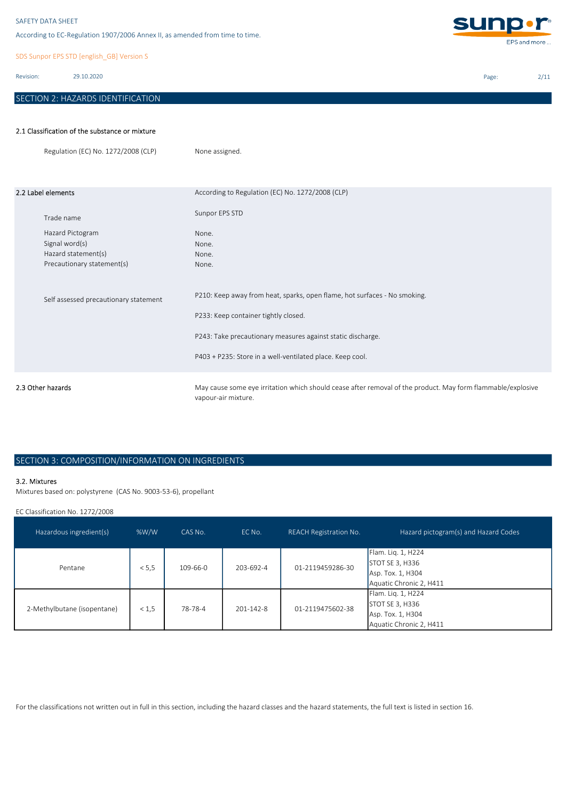According to EC-Regulation 1907/2006 Annex II, as amended from time to time.

SDS Sunpor EPS STD [english\_GB] Version S

Revision: 29.10.2020

# SECTION 2: HAZARDS IDENTIFICATION

**sunp.r** EPS and more ...

Page: 2/11

## 2.1 Classification of the substance or mixture

|                    | Regulation (EC) No. 1272/2008 (CLP)                                                                   | None assigned.                                                                                                                                                                                                                                |
|--------------------|-------------------------------------------------------------------------------------------------------|-----------------------------------------------------------------------------------------------------------------------------------------------------------------------------------------------------------------------------------------------|
| 2.2 Label elements |                                                                                                       | According to Regulation (EC) No. 1272/2008 (CLP)<br>Sunpor EPS STD                                                                                                                                                                            |
|                    | Trade name<br>Hazard Pictogram<br>Signal word(s)<br>Hazard statement(s)<br>Precautionary statement(s) | None.<br>None.<br>None.<br>None.                                                                                                                                                                                                              |
|                    | Self assessed precautionary statement                                                                 | P210: Keep away from heat, sparks, open flame, hot surfaces - No smoking.<br>P233: Keep container tightly closed.<br>P243: Take precautionary measures against static discharge.<br>P403 + P235: Store in a well-ventilated place. Keep cool. |
| 2.3 Other hazards  |                                                                                                       | May cause some eye irritation which should cease after removal of the product. May form flammable/explosive<br>vapour-air mixture.                                                                                                            |

## SECTION 3: COMPOSITION/INFORMATION ON INGREDIENTS

### 3.2. Mixtures

Mixtures based on: polystyrene (CAS No. 9003-53-6), propellant

EC Classification No. 1272/2008

| Hazardous ingredient(s)     | %W/W  | CAS No.        | EC No.          | <b>REACH Registration No.</b> | Hazard pictogram(s) and Hazard Codes                                                         |
|-----------------------------|-------|----------------|-----------------|-------------------------------|----------------------------------------------------------------------------------------------|
| Pentane                     | < 5.5 | $109 - 66 - 0$ | 203-692-4       | 01-2119459286-30              | Flam. Lig. 1, H224<br><b>STOT SE 3, H336</b><br>Asp. Tox. 1, H304<br>Aquatic Chronic 2, H411 |
| 2-Methylbutane (isopentane) | < 1.5 | 78-78-4        | $201 - 142 - 8$ | 01-2119475602-38              | Flam. Lig. 1, H224<br>STOT SE 3, H336<br>Asp. Tox. 1, H304<br>Aquatic Chronic 2, H411        |

For the classifications not written out in full in this section, including the hazard classes and the hazard statements, the full text is listed in section 16.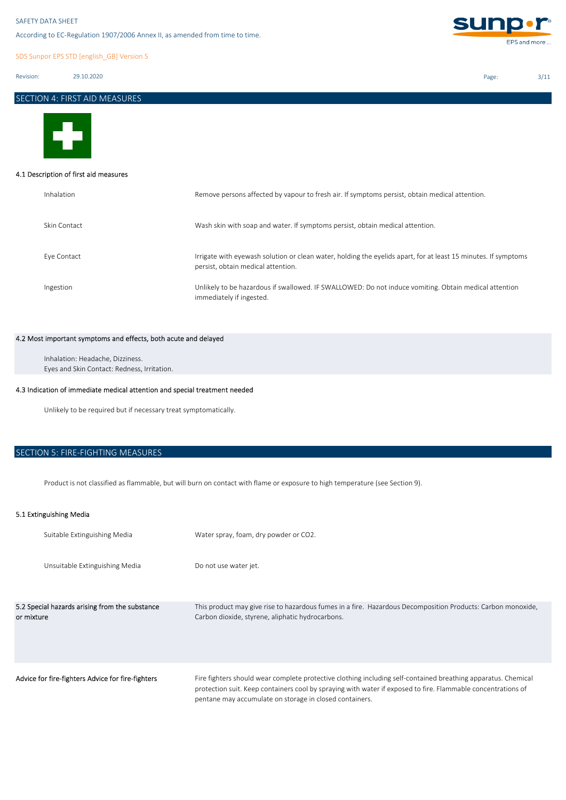According to EC-Regulation 1907/2006 Annex II, as amended from time to time.

SDS Sunpor EPS STD [english\_GB] Version S

Revision: 29.10.2020

```
 Page: 3/11
SECTION 4: FIRST AID MEASURES
```
**sunp.r** 

EPS and more ...



## 4.1 Description of first aid measures

| Inhalation   | Remove persons affected by vapour to fresh air. If symptoms persist, obtain medical attention.                                                       |
|--------------|------------------------------------------------------------------------------------------------------------------------------------------------------|
| Skin Contact | Wash skin with soap and water. If symptoms persist, obtain medical attention.                                                                        |
| Eye Contact  | Irrigate with eyewash solution or clean water, holding the eyelids apart, for at least 15 minutes. If symptoms<br>persist, obtain medical attention. |
| Ingestion    | Unlikely to be hazardous if swallowed. IF SWALLOWED: Do not induce vomiting. Obtain medical attention<br>immediately if ingested.                    |

## 4.2 Most important symptoms and effects, both acute and delayed

Eyes and Skin Contact: Redness, Irritation. Inhalation: Headache, Dizziness.

## 4.3 Indication of immediate medical attention and special treatment needed

Unlikely to be required but if necessary treat symptomatically.

# SECTION 5: FIRE-FIGHTING MEASURES

Product is not classified as flammable, but will burn on contact with flame or exposure to high temperature (see Section 9).

## 5.1 Extinguishing Media

| Suitable Extinguishing Media                                 | Water spray, foam, dry powder or CO2.                                                                                                                                                                                                                                                    |
|--------------------------------------------------------------|------------------------------------------------------------------------------------------------------------------------------------------------------------------------------------------------------------------------------------------------------------------------------------------|
| Unsuitable Extinguishing Media                               | Do not use water jet.                                                                                                                                                                                                                                                                    |
| 5.2 Special hazards arising from the substance<br>or mixture | This product may give rise to hazardous fumes in a fire. Hazardous Decomposition Products: Carbon monoxide,<br>Carbon dioxide, styrene, aliphatic hydrocarbons.                                                                                                                          |
| Advice for fire-fighters Advice for fire-fighters            | Fire fighters should wear complete protective clothing including self-contained breathing apparatus. Chemical<br>protection suit. Keep containers cool by spraying with water if exposed to fire. Flammable concentrations of<br>pentane may accumulate on storage in closed containers. |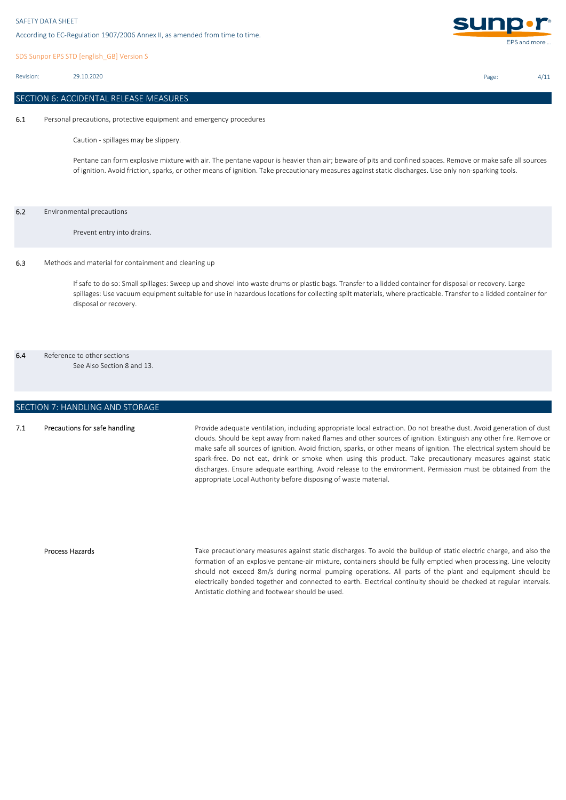SDS Sunpor EPS STD [english\_GB] Version S

Revision: 29.10.2020

## SECTION 6: ACCIDENTAL RELEASE MEASURES

6.1 Personal precautions, protective equipment and emergency procedures

Caution - spillages may be slippery.

Pentane can form explosive mixture with air. The pentane vapour is heavier than air; beware of pits and confined spaces. Remove or make safe all sources of ignition. Avoid friction, sparks, or other means of ignition. Take precautionary measures against static discharges. Use only non-sparking tools.

### 6.2 Environmental precautions

Prevent entry into drains.

### 6.3 Methods and material for containment and cleaning up

If safe to do so: Small spillages: Sweep up and shovel into waste drums or plastic bags. Transfer to a lidded container for disposal or recovery. Large spillages: Use vacuum equipment suitable for use in hazardous locations for collecting spilt materials, where practicable. Transfer to a lidded container for disposal or recovery.

# 6.4 Reference to other sections

See Also Section 8 and 13.

## SECTION 7: HANDLING AND STORAGE

#### 7.1 Precautions for safe handling

Provide adequate ventilation, including appropriate local extraction. Do not breathe dust. Avoid generation of dust clouds. Should be kept away from naked flames and other sources of ignition. Extinguish any other fire. Remove or make safe all sources of ignition. Avoid friction, sparks, or other means of ignition. The electrical system should be spark-free. Do not eat, drink or smoke when using this product. Take precautionary measures against static discharges. Ensure adequate earthing. Avoid release to the environment. Permission must be obtained from the appropriate Local Authority before disposing of waste material.

### Process Hazards

Take precautionary measures against static discharges. To avoid the buildup of static electric charge, and also the formation of an explosive pentane-air mixture, containers should be fully emptied when processing. Line velocity should not exceed 8m/s during normal pumping operations. All parts of the plant and equipment should be electrically bonded together and connected to earth. Electrical continuity should be checked at regular intervals. Antistatic clothing and footwear should be used.



Page: 4/11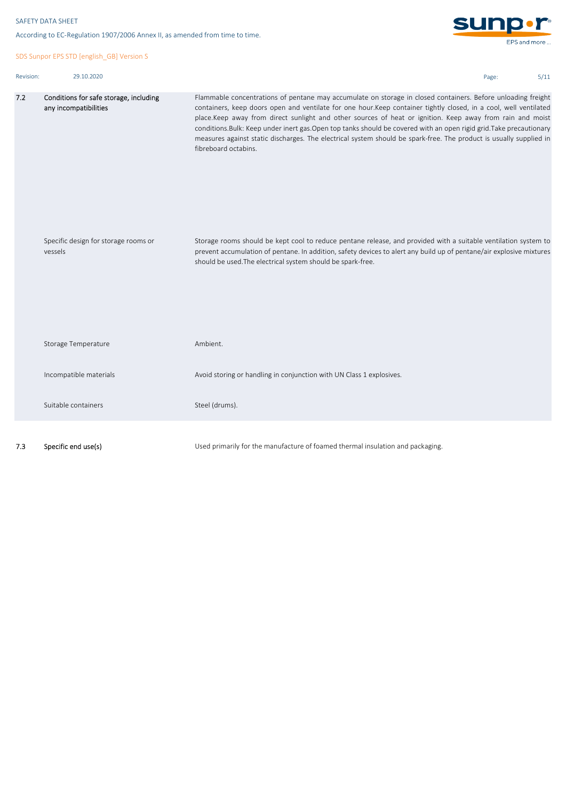7.2

```
sun
According to EC-Regulation 1907/2006 Annex II, as amended from time to time.
                                                                                                                                                       EPS and more.
SDS Sunpor EPS STD [english_GB] Version S
Revision: 29.10.2020 Page: 5/11
         Conditions for safe storage, including 
                                                       Flammable concentrations of pentane may accumulate on storage in closed containers. Before unloading freight
         any incompatibilities
                                                       containers, keep doors open and ventilate for one hour.Keep container tightly closed, in a cool, well ventilated
                                                       place.Keep away from direct sunlight and other sources of heat or ignition. Keep away from rain and moist
                                                       conditions.Bulk: Keep under inert gas.Open top tanks should be covered with an open rigid grid.Take precautionary
                                                       measures against static discharges. The electrical system should be spark-free. The product is usually supplied in
                                                       fibreboard octabins.
                                                       Storage rooms should be kept cool to reduce pentane release, and provided with a suitable ventilation system to
        Specific design for storage rooms or 
         vessels
                                                       prevent accumulation of pentane. In addition, safety devices to alert any build up of pentane/air explosive mixtures
                                                       should be used.The electrical system should be spark-free. 
         Storage Temperature
                                                       Ambient.
         Incompatible materials
                                                       Avoid storing or handling in conjunction with UN Class 1 explosives.
         Suitable containers
                                                       Steel (drums).
7.3 Specific end use(s)
                                                       Used primarily for the manufacture of foamed thermal insulation and packaging.
```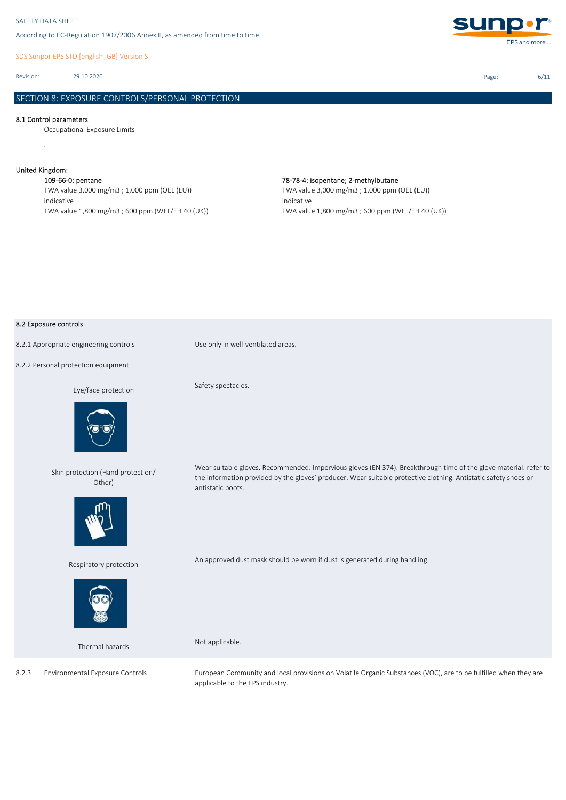SDS Sunpor EPS STD [english\_GB] Version S

Revision: 29.10.2020

## SECTION 8: EXPOSURE CONTROLS/PERSONAL PROTECTION

### 8.1 Control parameters

Occupational Exposure Limits

## United Kingdom:

.

109-66-0: pentane 78-78-4: isopentane; 2-methylbutane TWA value 3,000 mg/m3 ; 1,000 ppm (OEL (EU)) indicative TWA value 1,800 mg/m3 ; 600 ppm (WEL/EH 40 (UK))

# TWA value 3,000 mg/m3 ; 1,000 ppm (OEL (EU)) indicative

TWA value 1,800 mg/m3 ; 600 ppm (WEL/EH 40 (UK))

### 8.2 Exposure controls

8.2.1 Appropriate engineering controls Use only in well-ventilated areas.

8.2.2 Personal protection equipment

### Eye/face protection



Skin protection (Hand protection/



Respiratory protection



Thermal hazards

Environmental Exposure Controls

8.2.3

Safety spectacles.

Wear suitable gloves. Recommended: Impervious gloves (EN 374). Breakthrough time of the glove material: refer to the information provided by the gloves' producer. Wear suitable protective clothing. Antistatic safety shoes or antistatic boots.

An approved dust mask should be worn if dust is generated during handling.

Not applicable.

European Community and local provisions on Volatile Organic Substances (VOC), are to be fulfilled when they are applicable to the EPS industry.

Page: 6/11

Other)

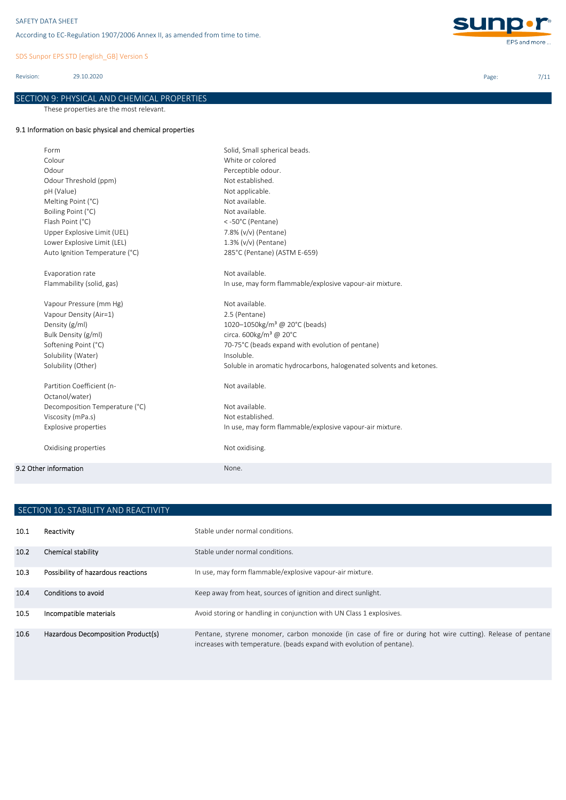SDS Sunpor EPS STD [english\_GB] Version S

Revision: 29.10.2020

# SECTION 9: PHYSICAL AND CHEMICAL PROPERTIES

These properties are the most relevant.

## 9.1 Information on basic physical and chemical properties

| Form                           | Solid, Small spherical beads.                                       |
|--------------------------------|---------------------------------------------------------------------|
| Colour                         | White or colored                                                    |
| Odour                          | Perceptible odour.                                                  |
| Odour Threshold (ppm)          | Not established.                                                    |
| pH (Value)                     | Not applicable.                                                     |
| Melting Point (°C)             | Not available.                                                      |
| Boiling Point (°C)             | Not available.                                                      |
| Flash Point (°C)               | <-50°C (Pentane)                                                    |
| Upper Explosive Limit (UEL)    | 7.8% (v/v) (Pentane)                                                |
| Lower Explosive Limit (LEL)    | 1.3% (v/v) (Pentane)                                                |
| Auto Ignition Temperature (°C) | 285°C (Pentane) (ASTM E-659)                                        |
| Evaporation rate               | Not available.                                                      |
| Flammability (solid, gas)      | In use, may form flammable/explosive vapour-air mixture.            |
| Vapour Pressure (mm Hg)        | Not available.                                                      |
| Vapour Density (Air=1)         | 2.5 (Pentane)                                                       |
| Density (g/ml)                 | 1020-1050kg/m <sup>3</sup> @ 20°C (beads)                           |
| Bulk Density (g/ml)            | circa. 600kg/m <sup>3</sup> @ 20°C                                  |
| Softening Point (°C)           | 70-75°C (beads expand with evolution of pentane)                    |
| Solubility (Water)             | Insoluble.                                                          |
| Solubility (Other)             | Soluble in aromatic hydrocarbons, halogenated solvents and ketones. |
| Partition Coefficient (n-      | Not available.                                                      |
| Octanol/water)                 |                                                                     |
| Decomposition Temperature (°C) | Not available.                                                      |
| Viscosity (mPa.s)              | Not established.                                                    |
| <b>Explosive properties</b>    | In use, may form flammable/explosive vapour-air mixture.            |
| Oxidising properties           | Not oxidising.                                                      |
| 9.2 Other information          | None.                                                               |
|                                |                                                                     |

|                   | SECTION 10: STABILITY AND REACTIVITY |                                                                                                                                                                                     |  |  |  |
|-------------------|--------------------------------------|-------------------------------------------------------------------------------------------------------------------------------------------------------------------------------------|--|--|--|
| 10.1              | Reactivity                           | Stable under normal conditions.                                                                                                                                                     |  |  |  |
| 10.2 <sub>1</sub> | Chemical stability                   | Stable under normal conditions.                                                                                                                                                     |  |  |  |
| 10.3              | Possibility of hazardous reactions   | In use, may form flammable/explosive vapour-air mixture.                                                                                                                            |  |  |  |
| 10.4              | Conditions to avoid                  | Keep away from heat, sources of ignition and direct sunlight.                                                                                                                       |  |  |  |
| 10.5              | Incompatible materials               | Avoid storing or handling in conjunction with UN Class 1 explosives.                                                                                                                |  |  |  |
| 10.6              | Hazardous Decomposition Product(s)   | Pentane, styrene monomer, carbon monoxide (in case of fire or during hot wire cutting). Release of pentane<br>increases with temperature. (beads expand with evolution of pentane). |  |  |  |



Page: 7/11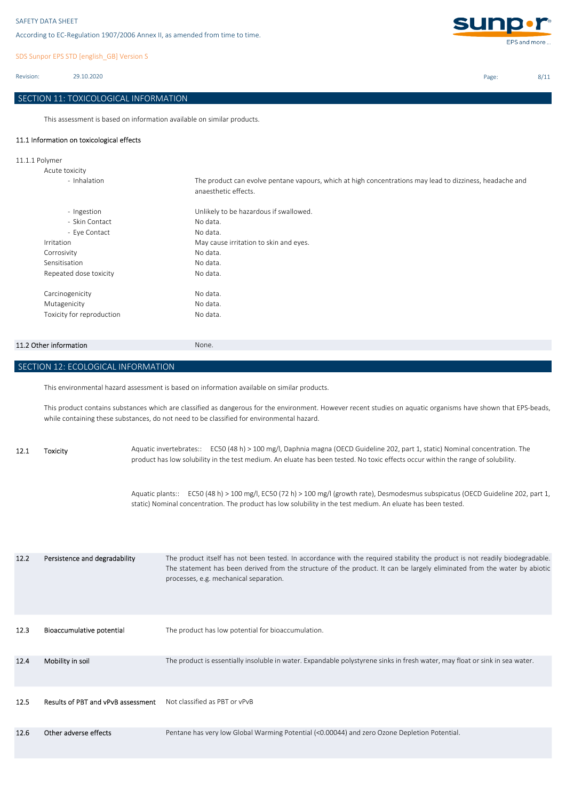SDS Sunpor EPS STD [english\_GB] Version S

Revision: 29.10.2020

## SECTION 11: TOXICOLOGICAL INFORMATION

This assessment is based on information available on similar products.

## 11.1 Information on toxicological effects

11.1.1 Polymer

| Acute toxicity            |                                                                                                                                  |
|---------------------------|----------------------------------------------------------------------------------------------------------------------------------|
| - Inhalation              | The product can evolve pentane vapours, which at high concentrations may lead to dizziness, headache and<br>anaesthetic effects. |
| - Ingestion               | Unlikely to be hazardous if swallowed.                                                                                           |
| - Skin Contact            | No data.                                                                                                                         |
| - Eye Contact             | No data.                                                                                                                         |
| Irritation                | May cause irritation to skin and eyes.                                                                                           |
| Corrosivity               | No data.                                                                                                                         |
| Sensitisation             | No data.                                                                                                                         |
| Repeated dose toxicity    | No data.                                                                                                                         |
| Carcinogenicity           | No data.                                                                                                                         |
| Mutagenicity              | No data.                                                                                                                         |
| Toxicity for reproduction | No data.                                                                                                                         |

## 11.2 Other information None.

SECTION 12: ECOLOGICAL INFORMATION

This environmental hazard assessment is based on information available on similar products.

This product contains substances which are classified as dangerous for the environment. However recent studies on aquatic organisms have shown that EPS-beads, while containing these substances, do not need to be classified for environmental hazard.

12.1 Toxicity Aquatic invertebrates:: EC50 (48 h) > 100 mg/l, Daphnia magna (OECD Guideline 202, part 1, static) Nominal concentration. The product has low solubility in the test medium. An eluate has been tested. No toxic effects occur within the range of solubility.

> Aquatic plants:: EC50 (48 h) > 100 mg/l, EC50 (72 h) > 100 mg/l (growth rate), Desmodesmus subspicatus (OECD Guideline 202, part 1, static) Nominal concentration. The product has low solubility in the test medium. An eluate has been tested.

| 12.2 | Persistence and degradability      | The product itself has not been tested. In accordance with the required stability the product is not readily biodegradable.<br>The statement has been derived from the structure of the product. It can be largely eliminated from the water by abiotic<br>processes, e.g. mechanical separation. |
|------|------------------------------------|---------------------------------------------------------------------------------------------------------------------------------------------------------------------------------------------------------------------------------------------------------------------------------------------------|
| 12.3 | Bioaccumulative potential          | The product has low potential for bioaccumulation.                                                                                                                                                                                                                                                |
| 12.4 | Mobility in soil                   | The product is essentially insoluble in water. Expandable polystyrene sinks in fresh water, may float or sink in sea water.                                                                                                                                                                       |
| 12.5 | Results of PBT and vPvB assessment | Not classified as PBT or vPvB                                                                                                                                                                                                                                                                     |
| 12.6 | Other adverse effects              | Pentane has very low Global Warming Potential (<0.00044) and zero Ozone Depletion Potential.                                                                                                                                                                                                      |



Page: 8/11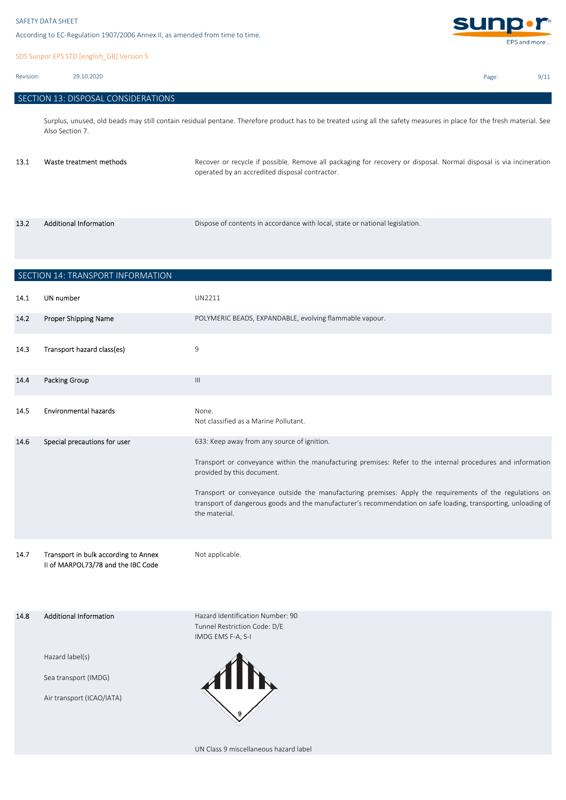SDS Sunpor EPS STD [english\_GB] Version S

Revision: 29.10.2020

13.2

|  |  | SECTION 13: DISPOSAL CONSIDERATIONS |  |
|--|--|-------------------------------------|--|
|--|--|-------------------------------------|--|

Surplus, unused, old beads may still contain residual pentane. Therefore product has to be treated using all the safety measures in place for the fresh material. See Also Section 7.

| 13.1 | Waste treatment methods | Recover or recycle if possible. Remove all packaging for recovery or disposal. Normal disposal is via incineration<br>operated by an accredited disposal contractor. |
|------|-------------------------|----------------------------------------------------------------------------------------------------------------------------------------------------------------------|
|      |                         |                                                                                                                                                                      |

Additional Information **Dispose of contents in accordance with local**, state or national legislation.

**14.1 UN number UN2211** 14.2 **14.3** Transport hazard class(es) **Proport** 14.3 **14.4 Packing Group Committee Committee Committee Committee Committee Committee Committee Committee Committee C** 14.5 Environmental hazards **Environmental hazards** Mone. Not classified as a Marine Pollutant. 14.6 Special precautions for user **14.6** 633: Keep away from any source of ignition. 14.7 Transport in bulk according to Annex Mot applicable. 14.8 Additional Information **Accord Eduard Hazard Identification Number: 90** Tunnel Restriction Code: D/E IMDG EMS F-A, S-I Hazard label(s) Sea transport (IMDG) Air transport (ICAO/IATA) Transport or conveyance outside the manufacturing premises: Apply the requirements of the regulations on transport of dangerous goods and the manufacturer's recommendation on safe loading, transporting, unloading of the material. II of MARPOL73/78 and the IBC Code Additional Information Transport or conveyance within the manufacturing premises: Refer to the internal procedures and information provided by this document. Special precautions for user POLYMERIC BEADS, EXPANDABLE, evolving flammable vapour. SECTION 14: TRANSPORT INFORMATION Proper Shipping Name

UN Class 9 miscellaneous hazard label



Page: 9/11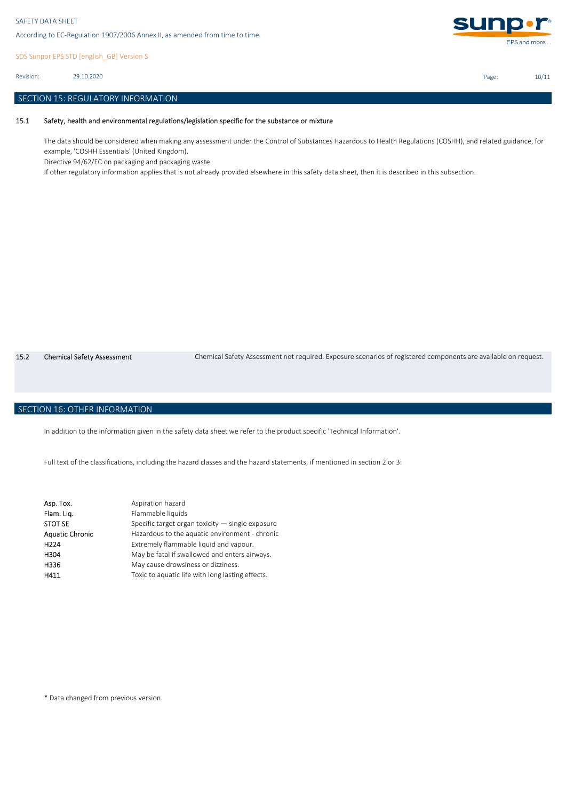SDS Sunpor EPS STD [english\_GB] Version S

29.10.2020 Revision:

## SECTION 15: REGULATORY INFORMATION

#### 15.1 Safety, health and environmental regulations/legislation specific for the substance or mixture

The data should be considered when making any assessment under the Control of Substances Hazardous to Health Regulations (COSHH), and related guidance, for example, 'COSHH Essentials' (United Kingdom).

Directive 94/62/EC on packaging and packaging waste.

If other regulatory information applies that is not already provided elsewhere in this safety data sheet, then it is described in this subsection.

15.2 Chemical Safety Assessment Chemical Safety Assessment not required. Exposure scenarios of registered components are available on request.

## SECTION 16: OTHER INFORMATION

In addition to the information given in the safety data sheet we refer to the product specific 'Technical Information'.

Full text of the classifications, including the hazard classes and the hazard statements, if mentioned in section 2 or 3:

| Aspiration hazard                                  |
|----------------------------------------------------|
| Flammable liquids                                  |
| Specific target organ toxicity $-$ single exposure |
| Hazardous to the aquatic environment - chronic     |
| Extremely flammable liquid and vapour.             |
| May be fatal if swallowed and enters airways.      |
| May cause drowsiness or dizziness.                 |
| Toxic to aquatic life with long lasting effects.   |
|                                                    |

\* Data changed from previous version



Page: 10/11